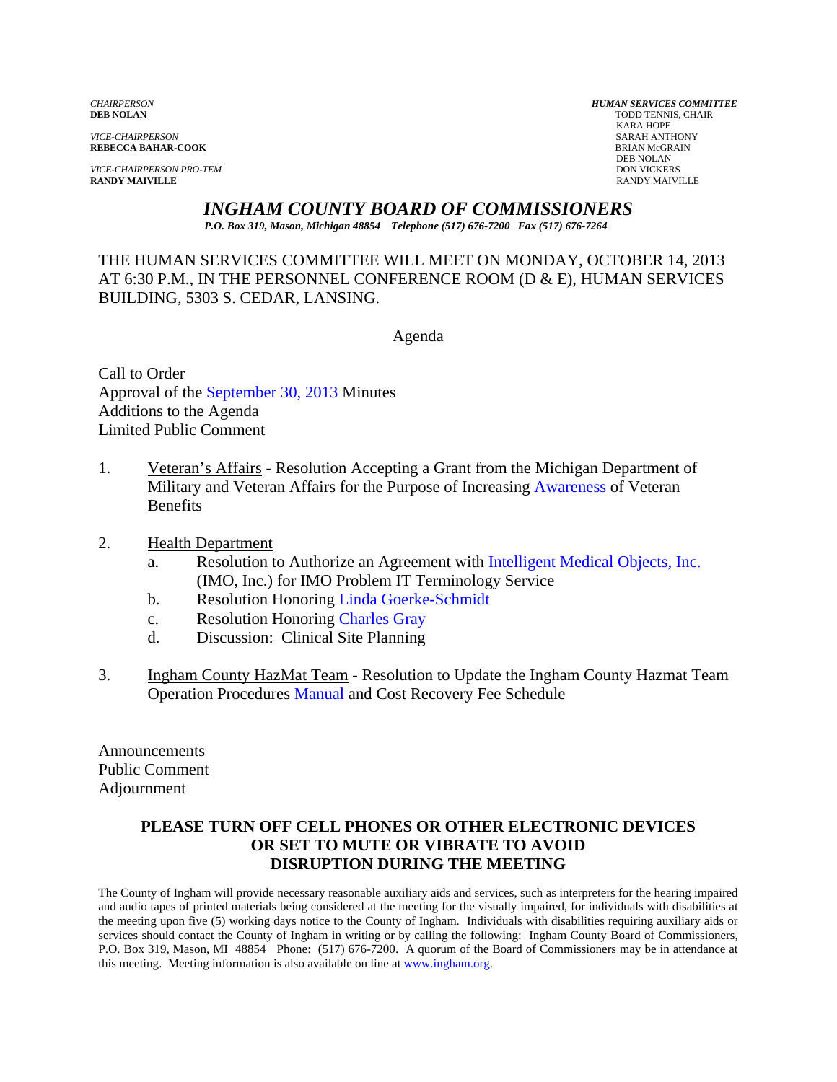*VICE-CHAIRPERSON* SARAH ANTHONY

*VICE-CHAIRPERSON PRO-TEM* DON VICKERS DON VICKERS **RANDY MAIVILLE RANDY MAIVILLE** RANDY MAIVILLE

*CHAIRPERSON HUMAN SERVICES COMMITTEE* TODD TENNIS, CHAIR<br>KARA HOPE KARA HOPE **REBECCA BAHAR-COOK**<br>BRIAN McGR<br>DEB NOLAN DEB NOLAN

*INGHAM COUNTY BOARD OF COMMISSIONERS* 

*P.O. Box 319, Mason, Michigan 48854 Telephone (517) 676-7200 Fax (517) 676-7264*

THE HUMAN SERVICES COMMITTEE WILL MEET ON MONDAY, OCTOBER 14, 2013 AT 6:30 P.M., IN THE PERSONNEL CONFERENCE ROOM (D & E), HUMAN SERVICES BUILDING, 5303 S. CEDAR, LANSING.

Agenda

Call to Order Approval of [the September 30, 2013 Minutes](#page-1-0)  Additions to the Agenda Limited Public Comment

- 1. Veteran's Affairs Resolution Accepting a Grant from t[he Michigan Department of](#page-4-0)  Military and Veteran Affairs for the Purpose of Increasing Awareness of Veteran **Benefits**
- 2. Health Department
	- a. Resolution to Authorize an Agreement wit[h Intelligent Medical Objects, Inc.](#page-5-0) (IMO, Inc.) for IMO Problem IT Terminology Service
	- b. Resolution Honorin[g Linda Goerke-Schmidt](#page-8-0)
	- c. Resolution Honoring Charles Gray
	- d. Discussion: Clinic[al Site Planning](#page-9-0)
- 3. Ingham County HazMat Team Resolution to Update the Ingham County Hazmat Team Operation Procedu[res Manual and Cos](#page-10-0)t Recovery Fee Schedule

Announcements Public Comment Adjournment

# **PLEASE TURN OFF CELL PHONES OR OTHER ELECTRONIC DEVICES OR SET TO MUTE OR VIBRATE TO AVOID DISRUPTION DURING THE MEETING**

The County of Ingham will provide necessary reasonable auxiliary aids and services, such as interpreters for the hearing impaired and audio tapes of printed materials being considered at the meeting for the visually impaired, for individuals with disabilities at the meeting upon five (5) working days notice to the County of Ingham. Individuals with disabilities requiring auxiliary aids or services should contact the County of Ingham in writing or by calling the following: Ingham County Board of Commissioners, P.O. Box 319, Mason, MI 48854 Phone: (517) 676-7200. A quorum of the Board of Commissioners may be in attendance at this meeting. Meeting information is also available on line at www.ingham.org.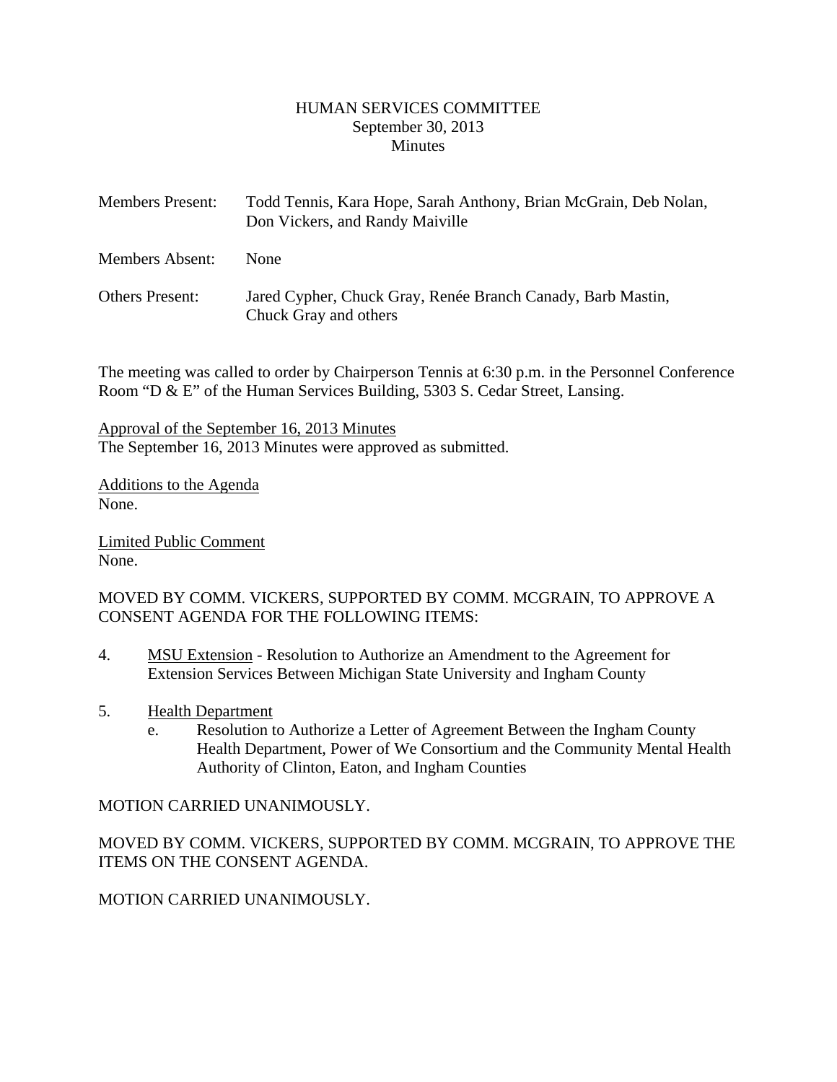#### HUMAN SERVICES COMMITTEE September 30, 2013 **Minutes**

<span id="page-1-0"></span>

| <b>Members Present:</b> | Todd Tennis, Kara Hope, Sarah Anthony, Brian McGrain, Deb Nolan,<br>Don Vickers, and Randy Maiville |
|-------------------------|-----------------------------------------------------------------------------------------------------|
| Members Absent:         | <b>None</b>                                                                                         |
| <b>Others Present:</b>  | Jared Cypher, Chuck Gray, Renée Branch Canady, Barb Mastin,<br>Chuck Gray and others                |

The meeting was called to order by Chairperson Tennis at 6:30 p.m. in the Personnel Conference Room "D & E" of the Human Services Building, 5303 S. Cedar Street, Lansing.

Approval of the September 16, 2013 Minutes The September 16, 2013 Minutes were approved as submitted.

Additions to the Agenda None.

Limited Public Comment None.

MOVED BY COMM. VICKERS, SUPPORTED BY COMM. MCGRAIN, TO APPROVE A CONSENT AGENDA FOR THE FOLLOWING ITEMS:

- 4. MSU Extension Resolution to Authorize an Amendment to the Agreement for Extension Services Between Michigan State University and Ingham County
- 5. Health Department
	- e. Resolution to Authorize a Letter of Agreement Between the Ingham County Health Department, Power of We Consortium and the Community Mental Health Authority of Clinton, Eaton, and Ingham Counties

#### MOTION CARRIED UNANIMOUSLY.

MOVED BY COMM. VICKERS, SUPPORTED BY COMM. MCGRAIN, TO APPROVE THE ITEMS ON THE CONSENT AGENDA.

MOTION CARRIED UNANIMOUSLY.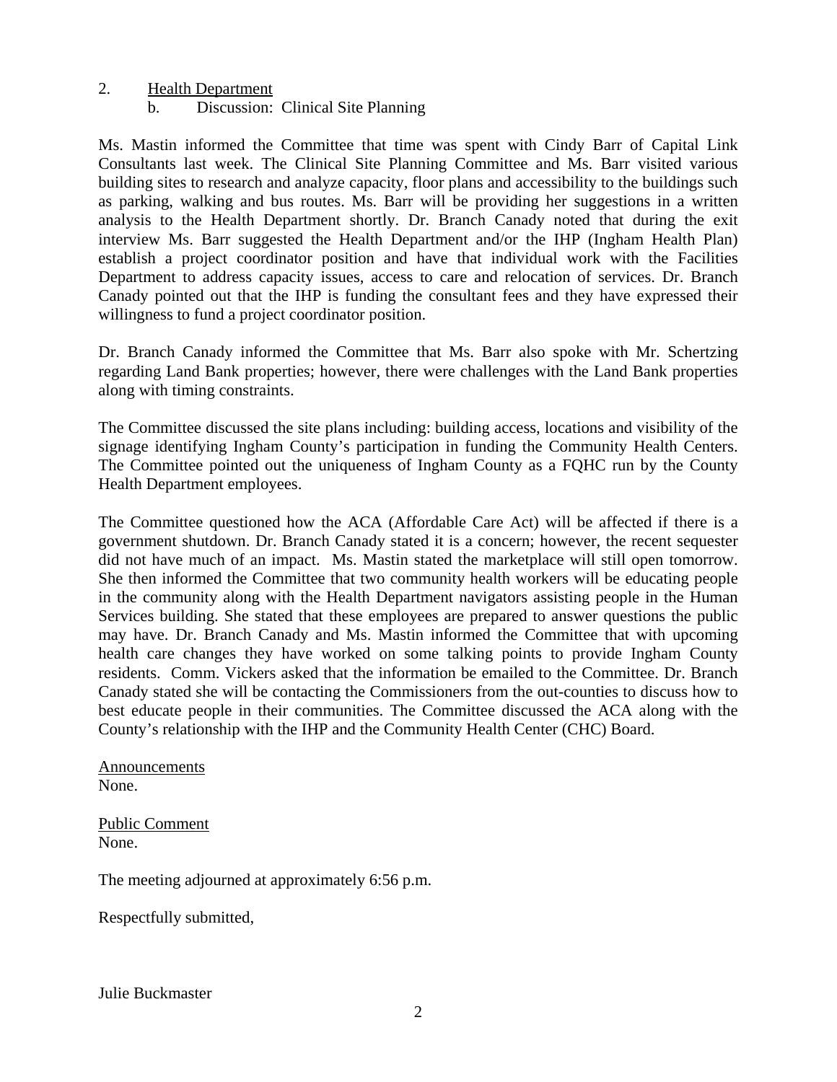#### 2. Health Department

b. Discussion: Clinical Site Planning

Ms. Mastin informed the Committee that time was spent with Cindy Barr of Capital Link Consultants last week. The Clinical Site Planning Committee and Ms. Barr visited various building sites to research and analyze capacity, floor plans and accessibility to the buildings such as parking, walking and bus routes. Ms. Barr will be providing her suggestions in a written analysis to the Health Department shortly. Dr. Branch Canady noted that during the exit interview Ms. Barr suggested the Health Department and/or the IHP (Ingham Health Plan) establish a project coordinator position and have that individual work with the Facilities Department to address capacity issues, access to care and relocation of services. Dr. Branch Canady pointed out that the IHP is funding the consultant fees and they have expressed their willingness to fund a project coordinator position.

Dr. Branch Canady informed the Committee that Ms. Barr also spoke with Mr. Schertzing regarding Land Bank properties; however, there were challenges with the Land Bank properties along with timing constraints.

The Committee discussed the site plans including: building access, locations and visibility of the signage identifying Ingham County's participation in funding the Community Health Centers. The Committee pointed out the uniqueness of Ingham County as a FQHC run by the County Health Department employees.

The Committee questioned how the ACA (Affordable Care Act) will be affected if there is a government shutdown. Dr. Branch Canady stated it is a concern; however, the recent sequester did not have much of an impact. Ms. Mastin stated the marketplace will still open tomorrow. She then informed the Committee that two community health workers will be educating people in the community along with the Health Department navigators assisting people in the Human Services building. She stated that these employees are prepared to answer questions the public may have. Dr. Branch Canady and Ms. Mastin informed the Committee that with upcoming health care changes they have worked on some talking points to provide Ingham County residents. Comm. Vickers asked that the information be emailed to the Committee. Dr. Branch Canady stated she will be contacting the Commissioners from the out-counties to discuss how to best educate people in their communities. The Committee discussed the ACA along with the County's relationship with the IHP and the Community Health Center (CHC) Board.

Announcements None.

Public Comment None.

The meeting adjourned at approximately 6:56 p.m.

Respectfully submitted,

Julie Buckmaster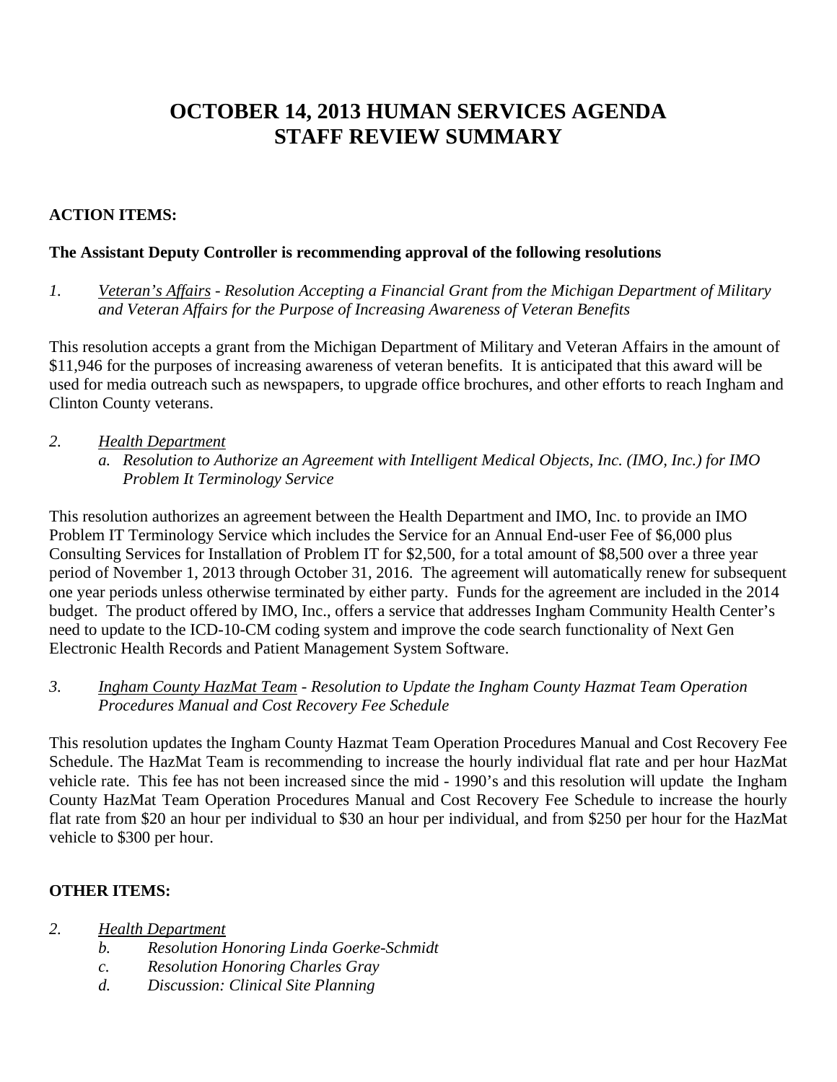# **OCTOBER 14, 2013 HUMAN SERVICES AGENDA STAFF REVIEW SUMMARY**

# **ACTION ITEMS:**

# **The Assistant Deputy Controller is recommending approval of the following resolutions**

*1. Veteran's Affairs - Resolution Accepting a Financial Grant from the Michigan Department of Military and Veteran Affairs for the Purpose of Increasing Awareness of Veteran Benefits* 

This resolution accepts a grant from the Michigan Department of Military and Veteran Affairs in the amount of \$11,946 for the purposes of increasing awareness of veteran benefits. It is anticipated that this award will be used for media outreach such as newspapers, to upgrade office brochures, and other efforts to reach Ingham and Clinton County veterans.

- *2. Health Department*
	- *a. Resolution to Authorize an Agreement with Intelligent Medical Objects, Inc. (IMO, Inc.) for IMO Problem It Terminology Service*

This resolution authorizes an agreement between the Health Department and IMO, Inc. to provide an IMO Problem IT Terminology Service which includes the Service for an Annual End-user Fee of \$6,000 plus Consulting Services for Installation of Problem IT for \$2,500, for a total amount of \$8,500 over a three year period of November 1, 2013 through October 31, 2016. The agreement will automatically renew for subsequent one year periods unless otherwise terminated by either party. Funds for the agreement are included in the 2014 budget. The product offered by IMO, Inc., offers a service that addresses Ingham Community Health Center's need to update to the ICD-10-CM coding system and improve the code search functionality of Next Gen Electronic Health Records and Patient Management System Software.

# *3. Ingham County HazMat Team - Resolution to Update the Ingham County Hazmat Team Operation Procedures Manual and Cost Recovery Fee Schedule*

This resolution updates the Ingham County Hazmat Team Operation Procedures Manual and Cost Recovery Fee Schedule. The HazMat Team is recommending to increase the hourly individual flat rate and per hour HazMat vehicle rate. This fee has not been increased since the mid - 1990's and this resolution will update the Ingham County HazMat Team Operation Procedures Manual and Cost Recovery Fee Schedule to increase the hourly flat rate from \$20 an hour per individual to \$30 an hour per individual, and from \$250 per hour for the HazMat vehicle to \$300 per hour.

# **OTHER ITEMS:**

- *2. Health Department*
	- *b. Resolution Honoring Linda Goerke-Schmidt*
	- *c. Resolution Honoring Charles Gray*
	- *d. Discussion: Clinical Site Planning*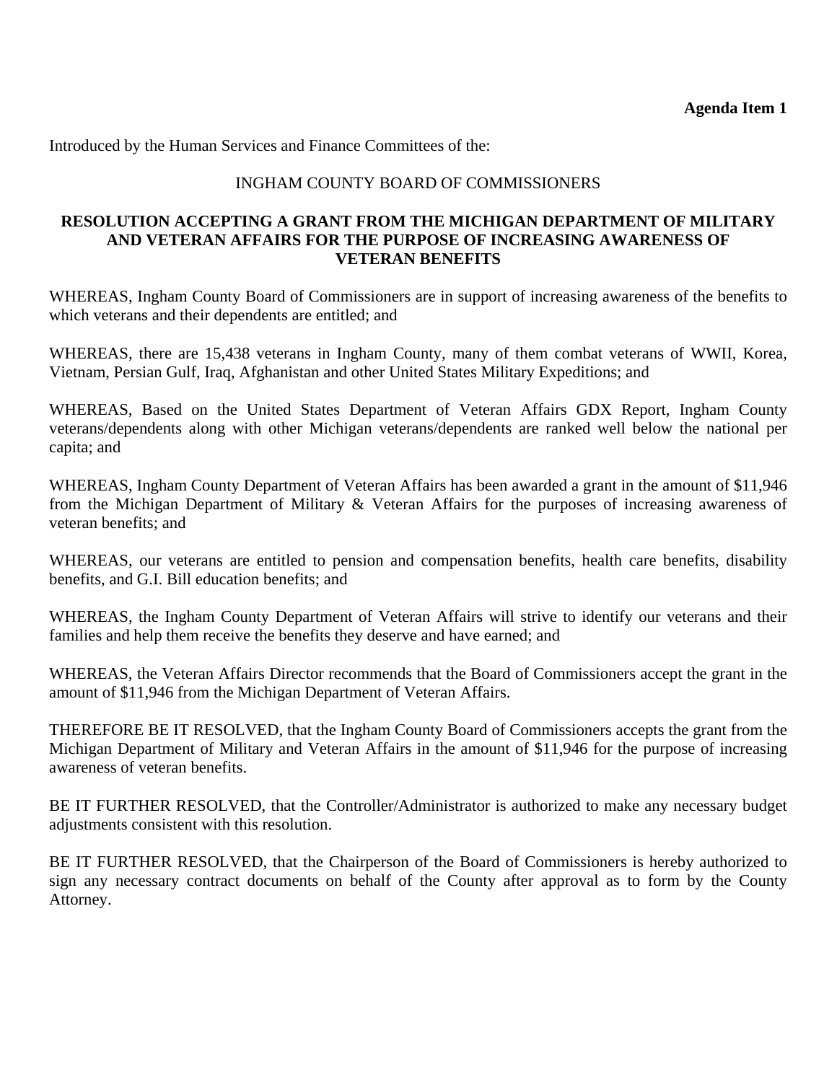<span id="page-4-0"></span>Introduced by the Human Services and Finance Committees of the:

# INGHAM COUNTY BOARD OF COMMISSIONERS

#### **RESOLUTION ACCEPTING A GRANT FROM THE MICHIGAN DEPARTMENT OF MILITARY AND VETERAN AFFAIRS FOR THE PURPOSE OF INCREASING AWARENESS OF VETERAN BENEFITS**

WHEREAS, Ingham County Board of Commissioners are in support of increasing awareness of the benefits to which veterans and their dependents are entitled; and

WHEREAS, there are 15,438 veterans in Ingham County, many of them combat veterans of WWII, Korea, Vietnam, Persian Gulf, Iraq, Afghanistan and other United States Military Expeditions; and

WHEREAS, Based on the United States Department of Veteran Affairs GDX Report, Ingham County veterans/dependents along with other Michigan veterans/dependents are ranked well below the national per capita; and

WHEREAS, Ingham County Department of Veteran Affairs has been awarded a grant in the amount of \$11,946 from the Michigan Department of Military & Veteran Affairs for the purposes of increasing awareness of veteran benefits; and

WHEREAS, our veterans are entitled to pension and compensation benefits, health care benefits, disability benefits, and G.I. Bill education benefits; and

WHEREAS, the Ingham County Department of Veteran Affairs will strive to identify our veterans and their families and help them receive the benefits they deserve and have earned; and

WHEREAS, the Veteran Affairs Director recommends that the Board of Commissioners accept the grant in the amount of \$11,946 from the Michigan Department of Veteran Affairs.

THEREFORE BE IT RESOLVED, that the Ingham County Board of Commissioners accepts the grant from the Michigan Department of Military and Veteran Affairs in the amount of \$11,946 for the purpose of increasing awareness of veteran benefits.

BE IT FURTHER RESOLVED, that the Controller/Administrator is authorized to make any necessary budget adjustments consistent with this resolution.

BE IT FURTHER RESOLVED, that the Chairperson of the Board of Commissioners is hereby authorized to sign any necessary contract documents on behalf of the County after approval as to form by the County Attorney.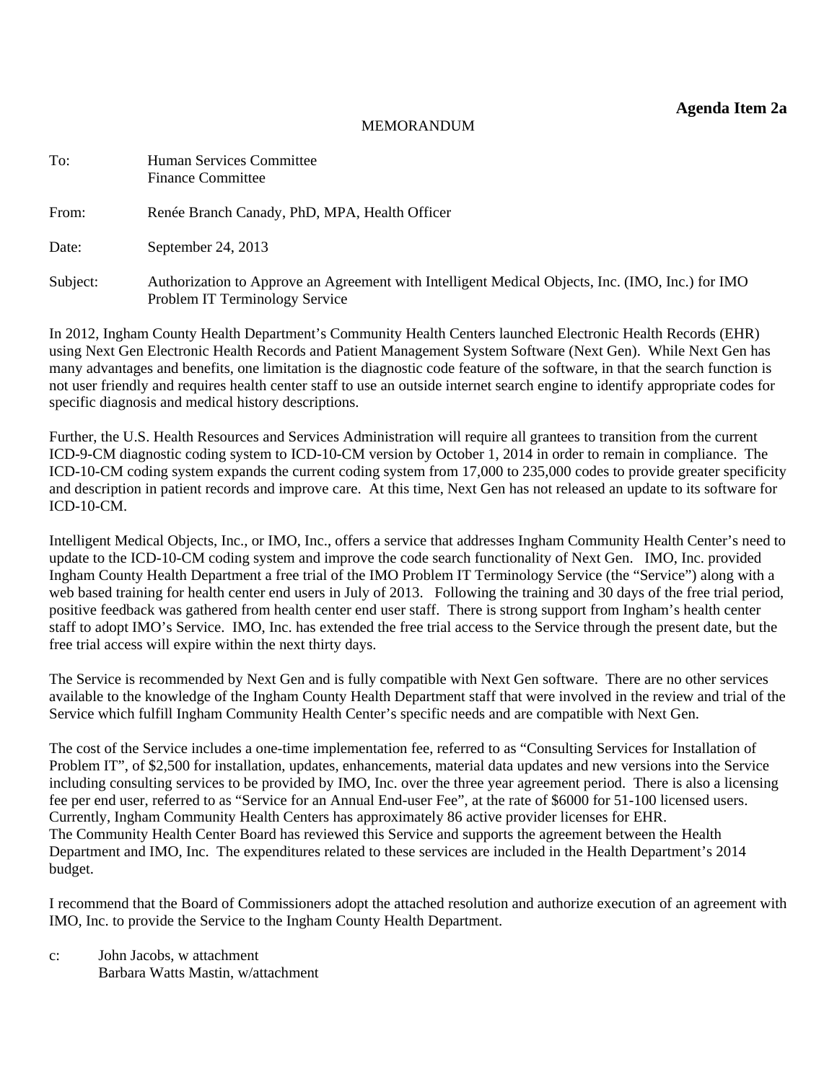#### **Agenda Item 2a**

#### MEMORANDUM

<span id="page-5-0"></span>

| To:      | Human Services Committee<br><b>Finance Committee</b>                                                                               |
|----------|------------------------------------------------------------------------------------------------------------------------------------|
| From:    | Renée Branch Canady, PhD, MPA, Health Officer                                                                                      |
| Date:    | September 24, 2013                                                                                                                 |
| Subject: | Authorization to Approve an Agreement with Intelligent Medical Objects, Inc. (IMO, Inc.) for IMO<br>Problem IT Terminology Service |

In 2012, Ingham County Health Department's Community Health Centers launched Electronic Health Records (EHR) using Next Gen Electronic Health Records and Patient Management System Software (Next Gen). While Next Gen has many advantages and benefits, one limitation is the diagnostic code feature of the software, in that the search function is not user friendly and requires health center staff to use an outside internet search engine to identify appropriate codes for specific diagnosis and medical history descriptions.

Further, the U.S. Health Resources and Services Administration will require all grantees to transition from the current ICD-9-CM diagnostic coding system to ICD-10-CM version by October 1, 2014 in order to remain in compliance. The ICD-10-CM coding system expands the current coding system from 17,000 to 235,000 codes to provide greater specificity and description in patient records and improve care. At this time, Next Gen has not released an update to its software for ICD-10-CM.

Intelligent Medical Objects, Inc., or IMO, Inc., offers a service that addresses Ingham Community Health Center's need to update to the ICD-10-CM coding system and improve the code search functionality of Next Gen. IMO, Inc. provided Ingham County Health Department a free trial of the IMO Problem IT Terminology Service (the "Service") along with a web based training for health center end users in July of 2013. Following the training and 30 days of the free trial period, positive feedback was gathered from health center end user staff. There is strong support from Ingham's health center staff to adopt IMO's Service. IMO, Inc. has extended the free trial access to the Service through the present date, but the free trial access will expire within the next thirty days.

The Service is recommended by Next Gen and is fully compatible with Next Gen software. There are no other services available to the knowledge of the Ingham County Health Department staff that were involved in the review and trial of the Service which fulfill Ingham Community Health Center's specific needs and are compatible with Next Gen.

The cost of the Service includes a one-time implementation fee, referred to as "Consulting Services for Installation of Problem IT", of \$2,500 for installation, updates, enhancements, material data updates and new versions into the Service including consulting services to be provided by IMO, Inc. over the three year agreement period. There is also a licensing fee per end user, referred to as "Service for an Annual End-user Fee", at the rate of \$6000 for 51-100 licensed users. Currently, Ingham Community Health Centers has approximately 86 active provider licenses for EHR. The Community Health Center Board has reviewed this Service and supports the agreement between the Health Department and IMO, Inc. The expenditures related to these services are included in the Health Department's 2014 budget.

I recommend that the Board of Commissioners adopt the attached resolution and authorize execution of an agreement with IMO, Inc. to provide the Service to the Ingham County Health Department.

c: John Jacobs, w attachment Barbara Watts Mastin, w/attachment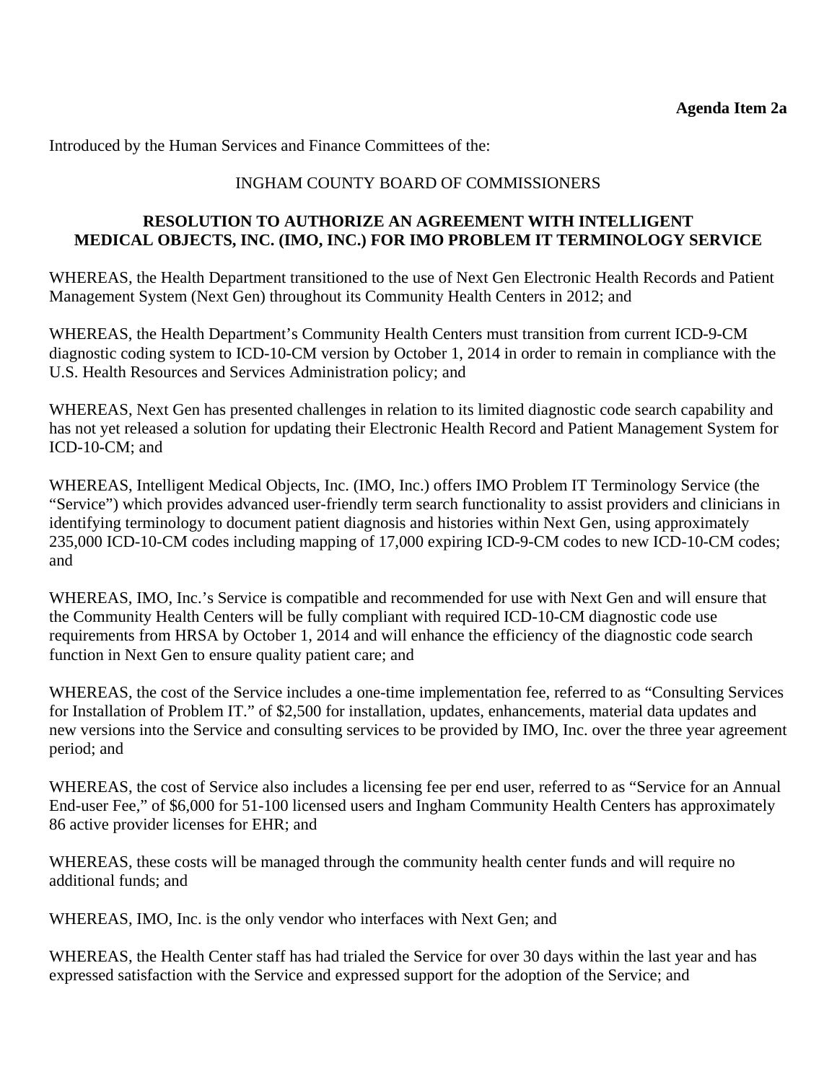Introduced by the Human Services and Finance Committees of the:

# INGHAM COUNTY BOARD OF COMMISSIONERS

#### **RESOLUTION TO AUTHORIZE AN AGREEMENT WITH INTELLIGENT MEDICAL OBJECTS, INC. (IMO, INC.) FOR IMO PROBLEM IT TERMINOLOGY SERVICE**

WHEREAS, the Health Department transitioned to the use of Next Gen Electronic Health Records and Patient Management System (Next Gen) throughout its Community Health Centers in 2012; and

WHEREAS, the Health Department's Community Health Centers must transition from current ICD-9-CM diagnostic coding system to ICD-10-CM version by October 1, 2014 in order to remain in compliance with the U.S. Health Resources and Services Administration policy; and

WHEREAS, Next Gen has presented challenges in relation to its limited diagnostic code search capability and has not yet released a solution for updating their Electronic Health Record and Patient Management System for ICD-10-CM; and

WHEREAS, Intelligent Medical Objects, Inc. (IMO, Inc.) offers IMO Problem IT Terminology Service (the "Service") which provides advanced user-friendly term search functionality to assist providers and clinicians in identifying terminology to document patient diagnosis and histories within Next Gen, using approximately 235,000 ICD-10-CM codes including mapping of 17,000 expiring ICD-9-CM codes to new ICD-10-CM codes; and

WHEREAS, IMO, Inc.'s Service is compatible and recommended for use with Next Gen and will ensure that the Community Health Centers will be fully compliant with required ICD-10-CM diagnostic code use requirements from HRSA by October 1, 2014 and will enhance the efficiency of the diagnostic code search function in Next Gen to ensure quality patient care; and

WHEREAS, the cost of the Service includes a one-time implementation fee, referred to as "Consulting Services for Installation of Problem IT." of \$2,500 for installation, updates, enhancements, material data updates and new versions into the Service and consulting services to be provided by IMO, Inc. over the three year agreement period; and

WHEREAS, the cost of Service also includes a licensing fee per end user, referred to as "Service for an Annual End-user Fee," of \$6,000 for 51-100 licensed users and Ingham Community Health Centers has approximately 86 active provider licenses for EHR; and

WHEREAS, these costs will be managed through the community health center funds and will require no additional funds; and

WHEREAS, IMO, Inc. is the only vendor who interfaces with Next Gen; and

WHEREAS, the Health Center staff has had trialed the Service for over 30 days within the last year and has expressed satisfaction with the Service and expressed support for the adoption of the Service; and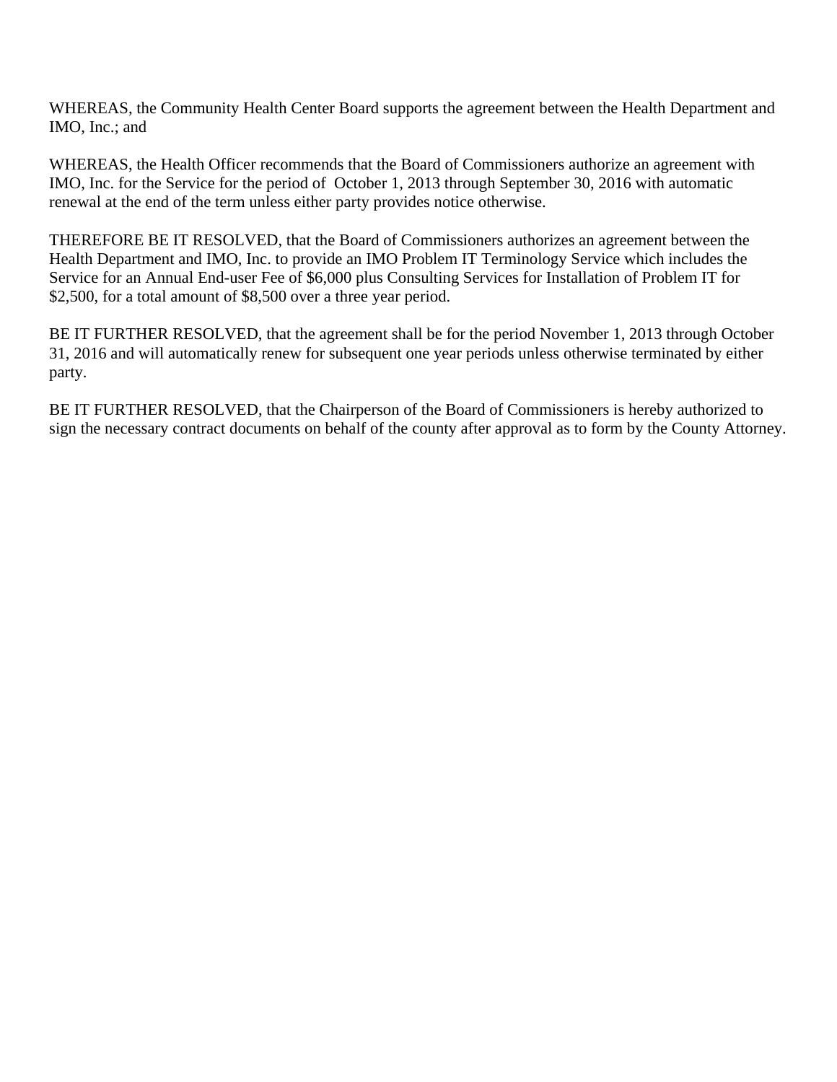WHEREAS, the Community Health Center Board supports the agreement between the Health Department and IMO, Inc.; and

WHEREAS, the Health Officer recommends that the Board of Commissioners authorize an agreement with IMO, Inc. for the Service for the period of October 1, 2013 through September 30, 2016 with automatic renewal at the end of the term unless either party provides notice otherwise.

THEREFORE BE IT RESOLVED, that the Board of Commissioners authorizes an agreement between the Health Department and IMO, Inc. to provide an IMO Problem IT Terminology Service which includes the Service for an Annual End-user Fee of \$6,000 plus Consulting Services for Installation of Problem IT for \$2,500, for a total amount of \$8,500 over a three year period.

BE IT FURTHER RESOLVED, that the agreement shall be for the period November 1, 2013 through October 31, 2016 and will automatically renew for subsequent one year periods unless otherwise terminated by either party.

BE IT FURTHER RESOLVED, that the Chairperson of the Board of Commissioners is hereby authorized to sign the necessary contract documents on behalf of the county after approval as to form by the County Attorney.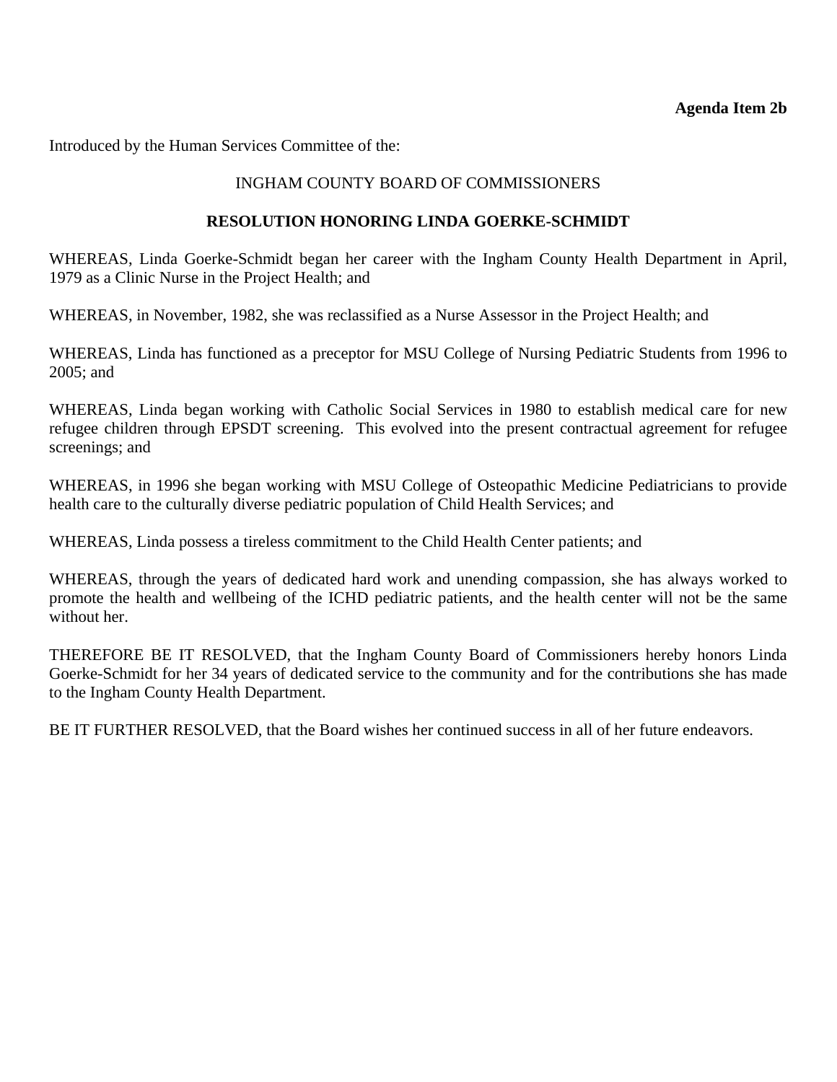#### **Agenda Item 2b**

<span id="page-8-0"></span>Introduced by the Human Services Committee of the:

## INGHAM COUNTY BOARD OF COMMISSIONERS

#### **RESOLUTION HONORING LINDA GOERKE-SCHMIDT**

WHEREAS, Linda Goerke-Schmidt began her career with the Ingham County Health Department in April, 1979 as a Clinic Nurse in the Project Health; and

WHEREAS, in November, 1982, she was reclassified as a Nurse Assessor in the Project Health; and

WHEREAS, Linda has functioned as a preceptor for MSU College of Nursing Pediatric Students from 1996 to 2005; and

WHEREAS, Linda began working with Catholic Social Services in 1980 to establish medical care for new refugee children through EPSDT screening. This evolved into the present contractual agreement for refugee screenings; and

WHEREAS, in 1996 she began working with MSU College of Osteopathic Medicine Pediatricians to provide health care to the culturally diverse pediatric population of Child Health Services; and

WHEREAS, Linda possess a tireless commitment to the Child Health Center patients; and

WHEREAS, through the years of dedicated hard work and unending compassion, she has always worked to promote the health and wellbeing of the ICHD pediatric patients, and the health center will not be the same without her.

THEREFORE BE IT RESOLVED, that the Ingham County Board of Commissioners hereby honors Linda Goerke-Schmidt for her 34 years of dedicated service to the community and for the contributions she has made to the Ingham County Health Department.

BE IT FURTHER RESOLVED, that the Board wishes her continued success in all of her future endeavors.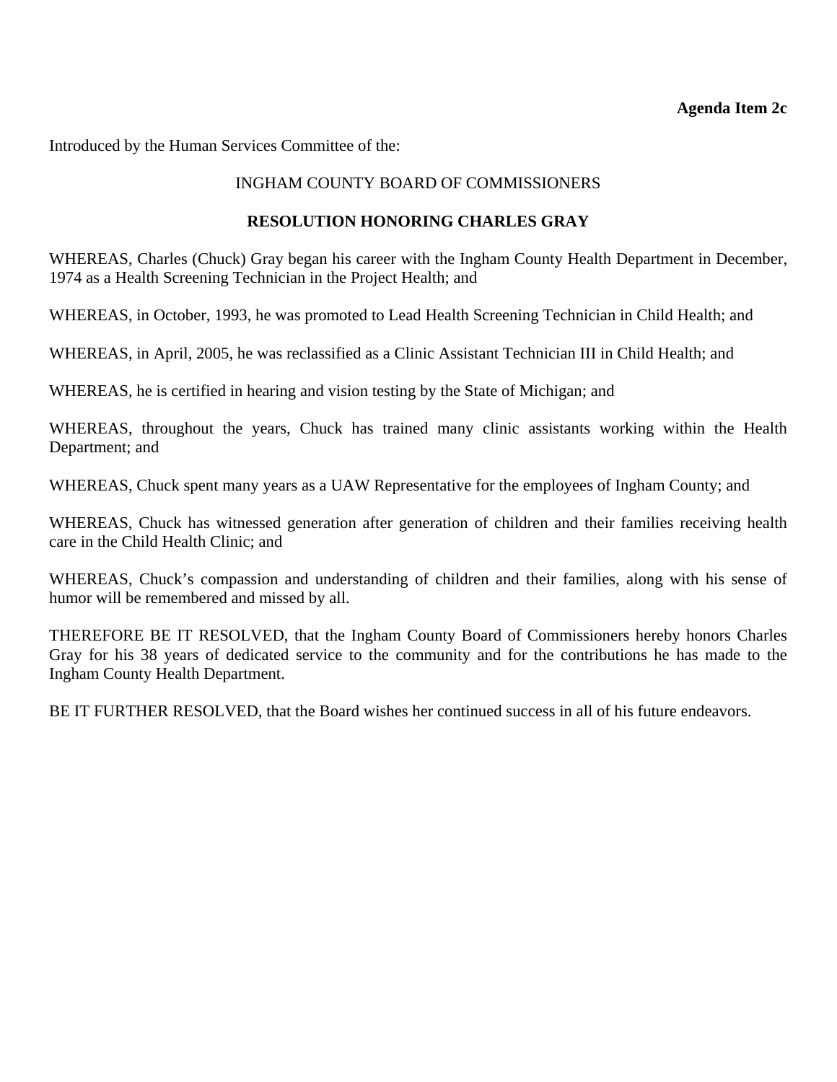#### **Agenda Item 2c**

<span id="page-9-0"></span>Introduced by the Human Services Committee of the:

## INGHAM COUNTY BOARD OF COMMISSIONERS

#### **RESOLUTION HONORING CHARLES GRAY**

WHEREAS, Charles (Chuck) Gray began his career with the Ingham County Health Department in December, 1974 as a Health Screening Technician in the Project Health; and

WHEREAS, in October, 1993, he was promoted to Lead Health Screening Technician in Child Health; and

WHEREAS, in April, 2005, he was reclassified as a Clinic Assistant Technician III in Child Health; and

WHEREAS, he is certified in hearing and vision testing by the State of Michigan; and

WHEREAS, throughout the years, Chuck has trained many clinic assistants working within the Health Department; and

WHEREAS, Chuck spent many years as a UAW Representative for the employees of Ingham County; and

WHEREAS, Chuck has witnessed generation after generation of children and their families receiving health care in the Child Health Clinic; and

WHEREAS, Chuck's compassion and understanding of children and their families, along with his sense of humor will be remembered and missed by all.

THEREFORE BE IT RESOLVED, that the Ingham County Board of Commissioners hereby honors Charles Gray for his 38 years of dedicated service to the community and for the contributions he has made to the Ingham County Health Department.

BE IT FURTHER RESOLVED, that the Board wishes her continued success in all of his future endeavors.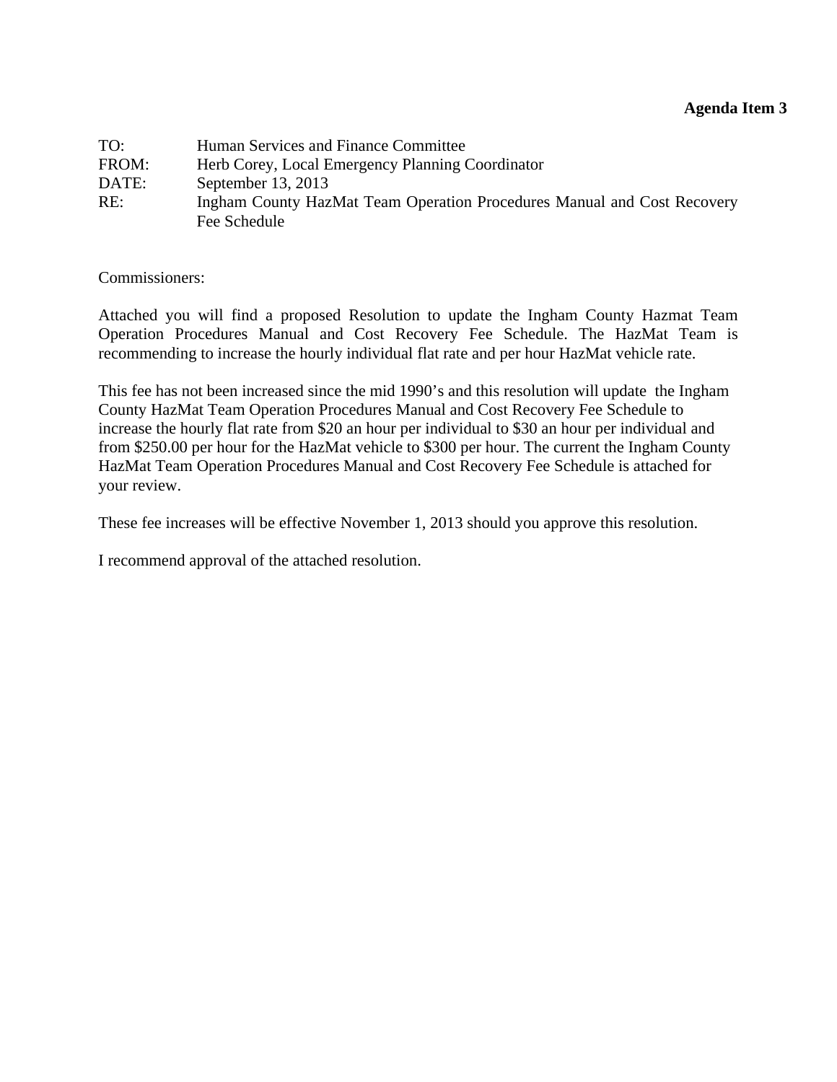<span id="page-10-0"></span>

| TO:   | Human Services and Finance Committee                                    |
|-------|-------------------------------------------------------------------------|
| FROM: | Herb Corey, Local Emergency Planning Coordinator                        |
| DATE: | September 13, 2013                                                      |
| RE:   | Ingham County HazMat Team Operation Procedures Manual and Cost Recovery |
|       | Fee Schedule                                                            |

Commissioners:

Attached you will find a proposed Resolution to update the Ingham County Hazmat Team Operation Procedures Manual and Cost Recovery Fee Schedule. The HazMat Team is recommending to increase the hourly individual flat rate and per hour HazMat vehicle rate.

This fee has not been increased since the mid 1990's and this resolution will update the Ingham County HazMat Team Operation Procedures Manual and Cost Recovery Fee Schedule to increase the hourly flat rate from \$20 an hour per individual to \$30 an hour per individual and from \$250.00 per hour for the HazMat vehicle to \$300 per hour. The current the Ingham County HazMat Team Operation Procedures Manual and Cost Recovery Fee Schedule is attached for your review.

These fee increases will be effective November 1, 2013 should you approve this resolution.

I recommend approval of the attached resolution.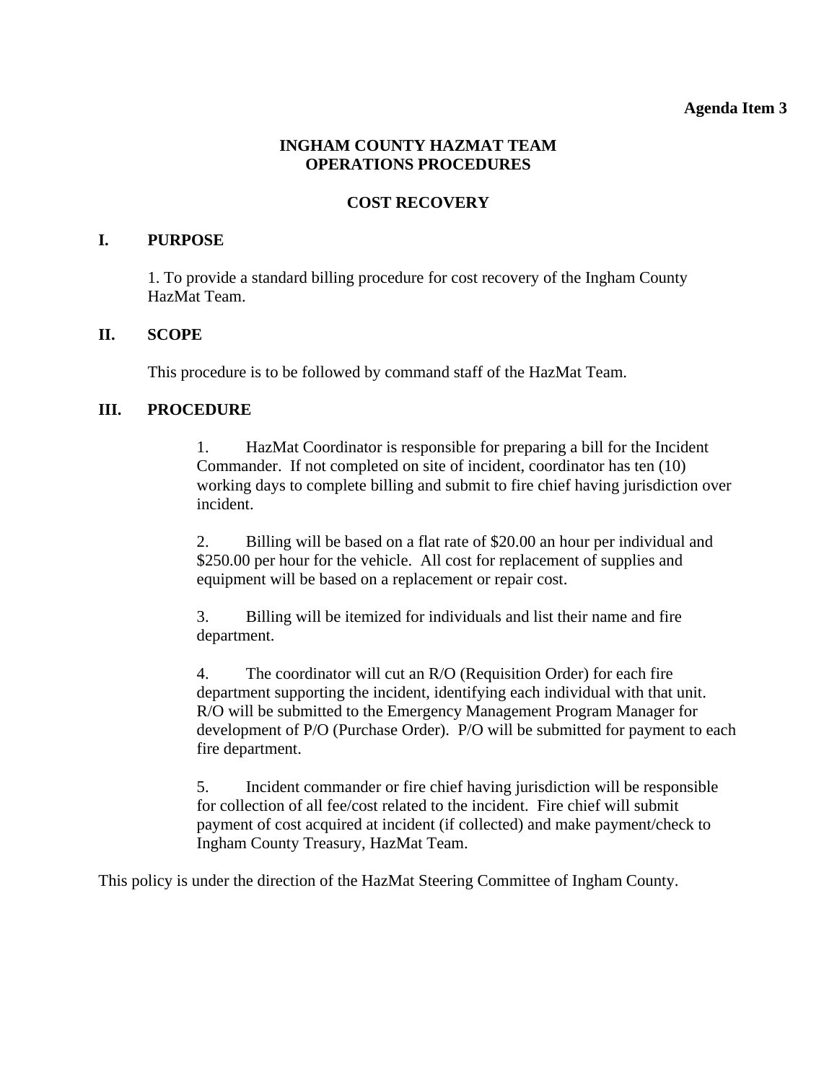#### **Agenda Item 3**

# **INGHAM COUNTY HAZMAT TEAM OPERATIONS PROCEDURES**

# **COST RECOVERY**

## **I. PURPOSE**

 1. To provide a standard billing procedure for cost recovery of the Ingham County HazMat Team.

## **II. SCOPE**

This procedure is to be followed by command staff of the HazMat Team.

# **III. PROCEDURE**

 1. HazMat Coordinator is responsible for preparing a bill for the Incident Commander. If not completed on site of incident, coordinator has ten (10) working days to complete billing and submit to fire chief having jurisdiction over incident.

 2. Billing will be based on a flat rate of \$20.00 an hour per individual and \$250.00 per hour for the vehicle. All cost for replacement of supplies and equipment will be based on a replacement or repair cost.

 3. Billing will be itemized for individuals and list their name and fire department.

 4. The coordinator will cut an R/O (Requisition Order) for each fire department supporting the incident, identifying each individual with that unit. R/O will be submitted to the Emergency Management Program Manager for development of P/O (Purchase Order). P/O will be submitted for payment to each fire department.

 5. Incident commander or fire chief having jurisdiction will be responsible for collection of all fee/cost related to the incident. Fire chief will submit payment of cost acquired at incident (if collected) and make payment/check to Ingham County Treasury, HazMat Team.

This policy is under the direction of the HazMat Steering Committee of Ingham County.